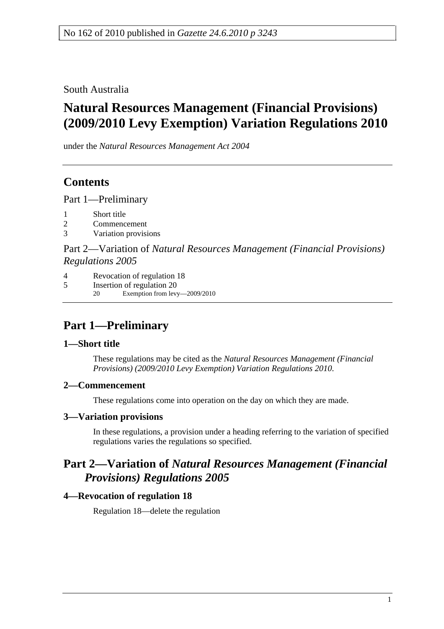South Australia

# **Natural Resources Management (Financial Provisions) (2009/2010 Levy Exemption) Variation Regulations 2010**

under the *Natural Resources Management Act 2004*

## **Contents**

Part 1—Preliminary

- 1 Short title
- 2 Commencement
- 3 Variation provisions

Part 2—Variation of *Natural Resources Management (Financial Provisions) Regulations 2005*

- 4 Revocation of regulation 18
- 5 Insertion of regulation 20 20 Exemption from levy—2009/2010

# **Part 1—Preliminary**

## **1—Short title**

These regulations may be cited as the *Natural Resources Management (Financial Provisions) (2009/2010 Levy Exemption) Variation Regulations 2010*.

## **2—Commencement**

These regulations come into operation on the day on which they are made.

## **3—Variation provisions**

In these regulations, a provision under a heading referring to the variation of specified regulations varies the regulations so specified.

## **Part 2—Variation of** *Natural Resources Management (Financial Provisions) Regulations 2005*

## **4—Revocation of regulation 18**

Regulation 18—delete the regulation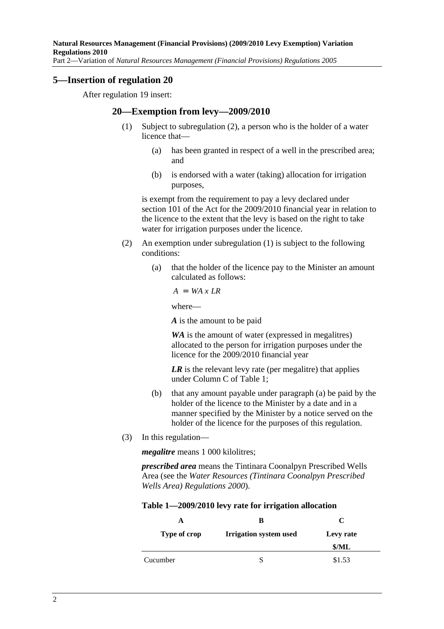#### **5—Insertion of regulation 20**

After regulation 19 insert:

#### **20—Exemption from levy—2009/2010**

- (1) Subject to subregulation (2), a person who is the holder of a water licence that—
	- (a) has been granted in respect of a well in the prescribed area; and
	- (b) is endorsed with a water (taking) allocation for irrigation purposes,

is exempt from the requirement to pay a levy declared under section 101 of the Act for the 2009/2010 financial year in relation to the licence to the extent that the levy is based on the right to take water for irrigation purposes under the licence.

- (2) An exemption under subregulation (1) is subject to the following conditions:
	- (a) that the holder of the licence pay to the Minister an amount calculated as follows:

 $A = WA \times LR$ 

where—

*A* is the amount to be paid

*WA* is the amount of water (expressed in megalitres) allocated to the person for irrigation purposes under the licence for the 2009/2010 financial year

*LR* is the relevant levy rate (per megalitre) that applies under Column C of Table 1;

- (b) that any amount payable under paragraph (a) be paid by the holder of the licence to the Minister by a date and in a manner specified by the Minister by a notice served on the holder of the licence for the purposes of this regulation.
- (3) In this regulation—

*megalitre* means 1 000 kilolitres;

*prescribed area* means the Tintinara Coonalpyn Prescribed Wells Area (see the *Water Resources (Tintinara Coonalpyn Prescribed Wells Area) Regulations 2000*).

#### **Table 1—2009/2010 levy rate for irrigation allocation**

| A            | В                             | C         |
|--------------|-------------------------------|-----------|
| Type of crop | <b>Irrigation system used</b> | Levy rate |
|              |                               | \$/ML     |
| Cucumber     |                               | \$1.53    |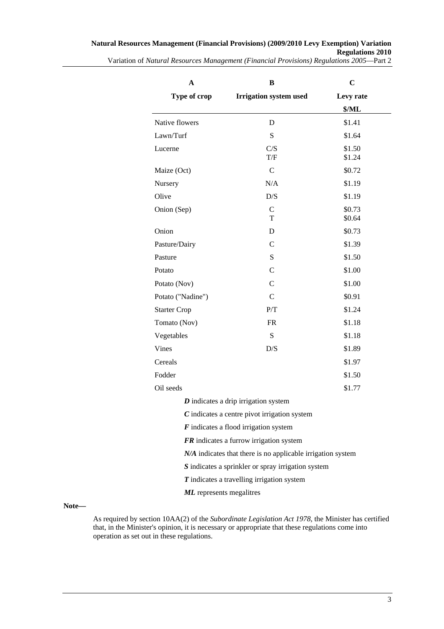| A<br>Type of crop               | B                                                             | $\mathbf C$        |
|---------------------------------|---------------------------------------------------------------|--------------------|
|                                 | <b>Irrigation system used</b>                                 | Levy rate<br>\$/ML |
|                                 |                                                               |                    |
| Lawn/Turf                       | S                                                             | \$1.64             |
| Lucerne                         | C/S<br>T/F                                                    | \$1.50<br>\$1.24   |
| Maize (Oct)                     | $\mathcal{C}$                                                 | \$0.72             |
| Nursery                         | N/A                                                           | \$1.19             |
| Olive                           | D/S                                                           | \$1.19             |
| Onion (Sep)                     | $\mathsf{C}$<br>T                                             | \$0.73<br>\$0.64   |
| Onion                           | D                                                             | \$0.73             |
| Pasture/Dairy                   | $\mathcal{C}$                                                 | \$1.39             |
| Pasture                         | S                                                             | \$1.50             |
| Potato                          | $\mathcal{C}$                                                 | \$1.00             |
| Potato (Nov)                    | $\mathsf{C}$                                                  | \$1.00             |
| Potato ("Nadine")               | $\mathcal{C}$                                                 | \$0.91             |
| <b>Starter Crop</b>             | P/T                                                           | \$1.24             |
| Tomato (Nov)                    | <b>FR</b>                                                     | \$1.18             |
| Vegetables                      | S                                                             | \$1.18             |
| Vines                           | D/S                                                           | \$1.89             |
| Cereals                         |                                                               | \$1.97             |
| Fodder                          |                                                               | \$1.50             |
| Oil seeds                       |                                                               | \$1.77             |
|                                 | $D$ indicates a drip irrigation system                        |                    |
|                                 | $C$ indicates a centre pivot irrigation system                |                    |
|                                 | $\boldsymbol{F}$ indicates a flood irrigation system          |                    |
|                                 | FR indicates a furrow irrigation system                       |                    |
|                                 | $N/A$ indicates that there is no applicable irrigation system |                    |
|                                 | S indicates a sprinkler or spray irrigation system            |                    |
|                                 | $T$ indicates a travelling irrigation system                  |                    |
| <b>ML</b> represents megalitres |                                                               |                    |

#### **Note—**

As required by section 10AA(2) of the *Subordinate Legislation Act 1978*, the Minister has certified that, in the Minister's opinion, it is necessary or appropriate that these regulations come into operation as set out in these regulations.